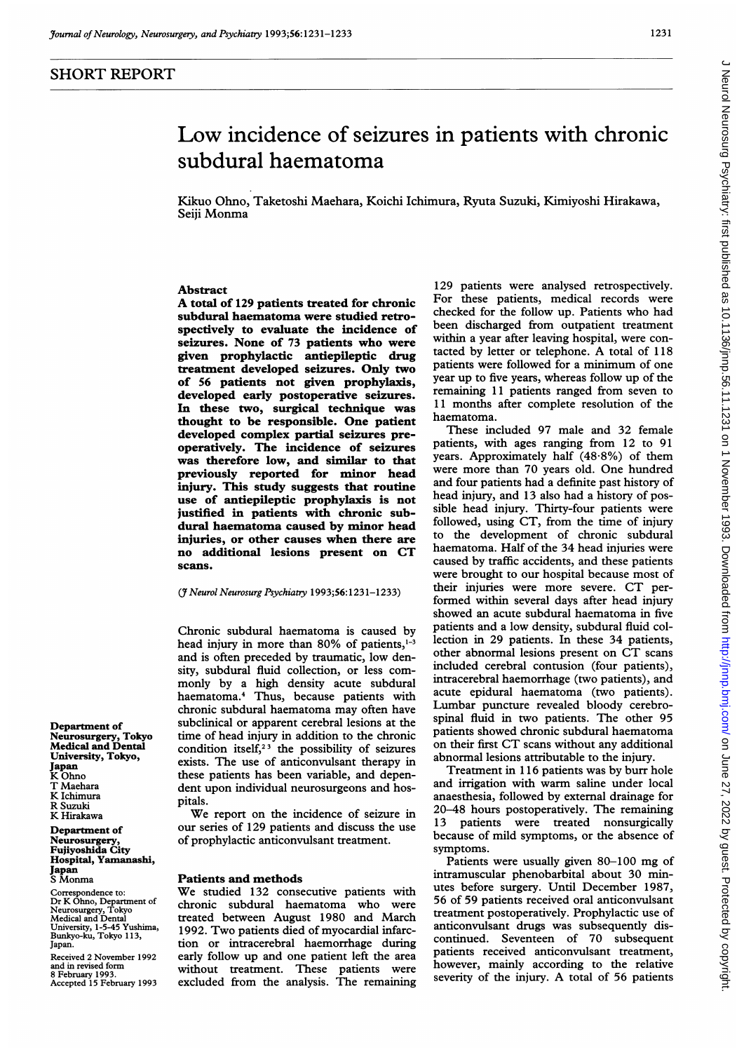# Low incidence of seizures in patients with chronic subdural haematoma

Kikuo Ohno, Taketoshi Maehara, Koichi Ichimura, Ryuta Suzuki, Kimiyoshi Hirakawa, Seiji Monma

## Abstract

A total of <sup>129</sup> patients treated for chronic subdural haematoma were studied retrospectively to evaluate the incidence of seizures. None of 73 patients who were given prophylactic antiepileptic drug treatment developed seizures. Only two of 56 patients not given prophylaxis, developed early postoperative seizures. In these two, surgical technique was thought to be responsible. One patient developed complex partial seizures preoperatively. The incidence of seizures was therefore low, and similar to that previously reported for minor head injury. This study suggests that routine use of antiepileptic prophylaxis is not justified in patients with chronic subdural haematoma caused by minor head injuries, or other causes when there are no additional lesions present on CT scans.

#### (JNeurol Neurosurg Psychiatry 1993;56:1231-1233)

Chronic subdural haematoma is caused by head injury in more than 80% of patients, $1-3$ and is often preceded by traumatic, low density, subdural fluid collection, or less commonly by a high density acute subdural haematoma.4 Thus, because patients with chronic subdural haematoma may often have subclinical or apparent cerebral lesions at the time of head injury in addition to the chronic condition itself,<sup>23</sup> the possibility of seizures exists. The use of anticonvulsant therapy in these patients has been variable, and dependent upon individual neurosurgeons and hospitals.

We report on the incidence of seizure in our series of 129 patients and discuss the use of prophylactic anticonvulsant treatment.

### Patients and methods

We studied <sup>132</sup> consecutive patients with chronic subdural haematoma who were treated between August 1980 and March 1992. Two patients died of myocardial infarction or intracerebral haemorrhage during early follow up and one patient left the area without treatment. These patients were excluded from the analysis. The remaining

129 patients were analysed retrospectively. For these patients, medical records were checked for the follow up. Patients who had been discharged from outpatient treatment within a year after leaving hospital, were contacted by letter or telephone. A total of <sup>118</sup> patients were followed for <sup>a</sup> minimum of one year up to five years, whereas follow up of the remaining 11 patients ranged from seven to 11 months after complete resolution of the haematoma.

These included 97 male and 32 female patients, with ages ranging from 12 to 91 years. Approximately half (48-8%) of them were more than 70 years old. One hundred and four patients had a definite past history of head injury, and 13 also had a history of possible head injury. Thirty-four patients were followed, using CT, from the time of injury to the development of chronic subdural haematoma. Half of the 34 head injuries were caused by traffic accidents, and these patients were brought to our hospital because most of their injuries were more severe. CT performed within several days after head injury showed an acute subdural haematoma in five patients and a low density, subdural fluid collection in 29 patients. In these 34 patients, other abnormal lesions present on CT scans included cerebral contusion (four patients), intracerebral haemorrhage (two patients), and acute epidural haematoma (two patients). Lumbar puncture revealed bloody cerebrospinal fluid in two patients. The other 95 patients showed chronic subdural haematoma on their first CT scans without any additional abnormal lesions attributable to the injury.

Treatment in <sup>1</sup> 16 patients was by burr hole and irrigation with warm saline under local anaesthesia, followed by external drainage for 20-48 hours postoperatively. The remaining 13 patients were treated nonsurgically because of mild symptoms, or the absence of symptoms.

Patients were usually given 80-100 mg of intramuscular phenobarbital about 30 minutes before surgery. Until December 1987, 56 of 59 patients received oral anticonvulsant treatment postoperatively. Prophylactic use of anticonvulsant drugs was subsequently discontinued. Seventeen of 70 subsequent patients received anticonvulsant treatment, however, mainly according to the relative severity of the injury. A total of <sup>56</sup> patients

Department of Neurosurgery, Tokyo Medical and Dental University, Tokyo, Japan K Ohno T Maehara K Ichimura R Suzuki K Hirakawa

Department of Neurosurgery, Fujiyoshida City Hospital, Yamanashi, Japan S Monma Correspondence to: Dr K Ohno, Department of

Neurosurgery, Tokyo Medical and Dental University, 1-5-45 Yushima,<br>Bunkyo-ku, Tokyo 113, Japan.

Received 2 November 1992 and in revised form

8 February 1993. Accepted 15 February 1993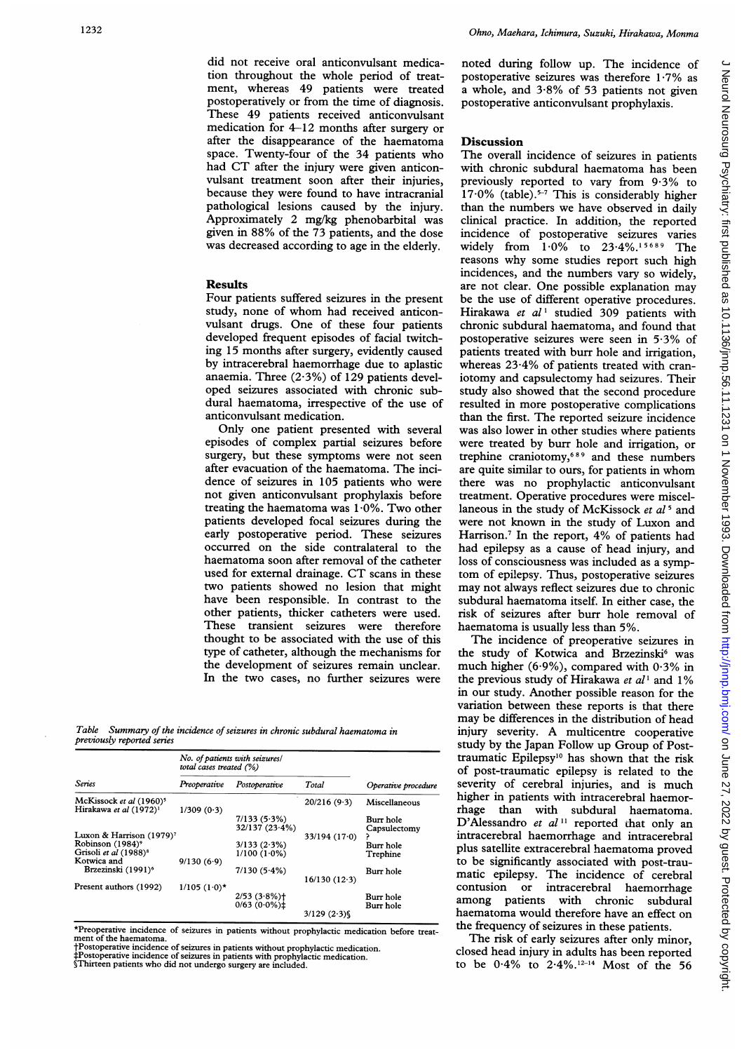did not receive oral anticonvulsant medication throughout the whole period of treatment, whereas 49 patients were treated postoperatively or from the time of diagnosis. These 49 patients received anticonvulsant medication for 4-12 months after surgery or after the disappearance of the haematoma space. Twenty-four of the 34 patients who had CT after the injury were given anticonvulsant treatment soon after their injuries, because they were found to have intracranial pathological lesions caused by the injury. Approximately 2 mg/kg phenobarbital was given in 88% of the 73 patients, and the dose was decreased according to age in the elderly.

#### **Results**

Four patients suffered seizures in the present study, none of whom had received anticonvulsant drugs. One of these four patients developed frequent episodes of facial twitching 15 months after surgery, evidently caused by intracerebral haemorrhage due to aplastic anaemia. Three  $(2.3\%)$  of 129 patients developed seizures associated with chronic subdural haematoma, irrespective of the use of anticonvulsant medication.

Only one patient presented with several episodes of complex partial seizures before surgery, but these symptoms were not seen after evacuation of the haematoma. The incidence of seizures in 105 patients who were not given anticonvulsant prophylaxis before treating the haematoma was  $1.0\%$ . Two other patients developed focal seizures during the early postoperative period. These seizures occurred on the side contralateral to the haematoma soon after removal of the catheter used for external drainage. CT scans in these two patients showed no lesion that might have been responsible. In contrast to the other patients, thicker catheters were used. These transient seizures were therefore thought to be associated with the use of this type of catheter, although the mechanisms for the development of seizures remain unclear. In the two cases, no further seizures were

Table Summary of the incidence of seizures in chronic subdural haematoma in previously reported series

| <b>Series</b>                                                             | No. of patients with seizures/<br>total cases treated (%) |                               |                 |                           |
|---------------------------------------------------------------------------|-----------------------------------------------------------|-------------------------------|-----------------|---------------------------|
|                                                                           | Preoperative                                              | Postoperative                 | Total           | Operative procedure       |
| McKissock et al (1960) <sup>5</sup><br>Hirakawa et al (1972) <sup>1</sup> | 1/309(0.3)                                                |                               | 20/216(9.3)     | Miscellaneous             |
|                                                                           |                                                           | 7/133(5.3%)<br>32/137 (23.4%) |                 | Burr hole<br>Capsulectomy |
| Luxon & Harrison (1979) <sup>7</sup>                                      |                                                           |                               | 33/194(17.0)    |                           |
| Robinson (1984) <sup>9</sup>                                              |                                                           | 3/133(2.3%)                   |                 | Burr hole                 |
| Grisoli et al (1988) <sup>8</sup>                                         |                                                           | $1/100(1.0\%)$                |                 | Trephine                  |
| Kotwica and                                                               | 9/130(6.9)                                                |                               |                 |                           |
| Brzezinski (1991) <sup>6</sup>                                            |                                                           | $7/130(5.4\%)$                | $16/130(12-3)$  | Burr hole                 |
| Present authors (1992)                                                    | $1/105$ $(1.0)$ *                                         |                               |                 |                           |
|                                                                           |                                                           | $2/53(3.8\%)+$                |                 | Burr hole                 |
|                                                                           |                                                           | $0/63$ (0.0%) $\pm$           |                 | Burr hole                 |
|                                                                           |                                                           |                               | $3/129$ $(2.3)$ |                           |

\*Preoperative incidence of seizures in patients without prophylactic medication before treatment of the haematoma. Postoperative incidence of seizures in patients without prophylactic medication.

‡Postoperative incidence of seizures in patients with prophylactic medication.<br>§Thirteen patients who did not undergo surgery are included.

noted during follow up. The incidence of postoperative seizures was therefore 1-7% as <sup>a</sup> whole, and 3-8% of 53 patients not given postoperative anticonvulsant prophylaxis.

## Discussion

The overall incidence of seizures in patients with chronic subdural haematoma has been previously reported to vary from 9.3% to 17.0% (table).<sup>5-7</sup> This is considerably higher than the numbers we have observed in daily clinical practice. In addition, the reported incidence of postoperative seizures varies widely from 1-0% to 23.4%.'5 <sup>689</sup> The reasons why some studies report such high incidences, and the numbers vary so widely, are not clear. One possible explanation may be the use of different operative procedures. Hirakawa et  $al^1$  studied 309 patients with chronic subdural haematoma, and found that postoperative seizures were seen in 5-3% of patients treated with burr hole and irrigation, whereas 23-4% of patients treated with craniotomy and capsulectomy had seizures. Their study also showed that the second procedure resulted in more postoperative complications than the first. The reported seizure incidence was also lower in other studies where patients were treated by burr hole and irrigation, or trephine craniotomy,6 <sup>89</sup> and these numbers are quite similar to ours, for patients in whom there was no prophylactic anticonvulsant treatment. Operative procedures were miscellaneous in the study of McKissock et al<sup>5</sup> and were not known in the study of Luxon and Harrison.<sup>7</sup> In the report, 4% of patients had had epilepsy as a cause of head injury, and loss of consciousness was included as <sup>a</sup> symptom of epilepsy. Thus, postoperative seizures may not always reflect seizures due to chronic subdural haematoma itself. In either case, the risk of seizures after burr hole removal of haematoma is usually less than 5%.

The incidence of preoperative seizures in the study of Kotwica and Brzezinski<sup>6</sup> was much higher (6.9%), compared with  $0.3\%$  in the previous study of Hirakawa et  $al<sup>1</sup>$  and 1% in our study. Another possible reason for the variation between these reports is that there may be differences in the distribution of head injury severity. A multicentre cooperative study by the Japan Follow up Group of Posttraumatic Epilepsy'0 has shown that the risk of post-traumatic epilepsy is related to the severity of cerebral injuries, and is much higher in patients with intracerebral haemorrhage than with subdural haematoma. D'Alessandro et  $al<sup>11</sup>$  reported that only an intracerebral haemorrhage and intracerebral plus satellite extracerebral haematoma proved to be significantly associated with post-traumatic epilepsy. The incidence of cerebral contusion or intracerebral haemorrhage with chronic subdural haematoma would therefore have an effect on the frequency of seizures in these patients.

The risk of early seizures after only minor, closed head injury in adults has been reported to be  $0.4\%$  to  $2.4\%$ .<sup>12-14</sup> Most of the 56